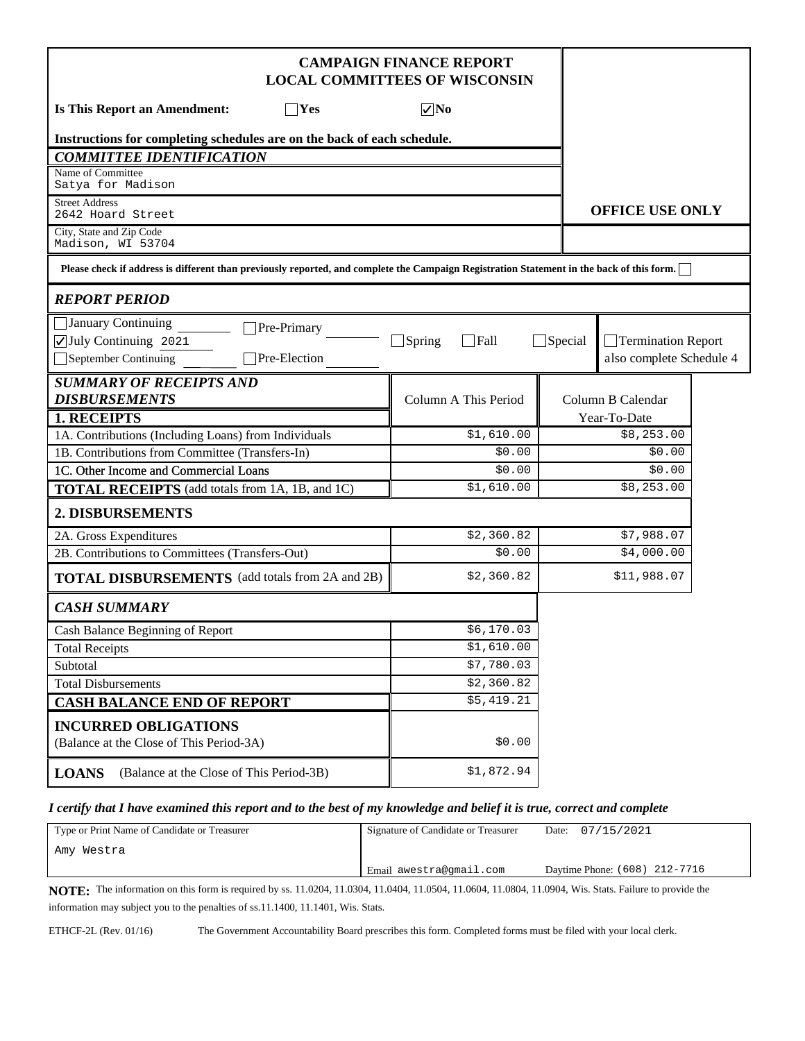| <b>CAMPAIGN FINANCE REPORT</b><br><b>LOCAL COMMITTEES OF WISCONSIN</b>                                                                    |                              |                |                          |  |
|-------------------------------------------------------------------------------------------------------------------------------------------|------------------------------|----------------|--------------------------|--|
| $\nabla$ No<br><b>Is This Report an Amendment:</b><br>$\Box$ Yes                                                                          |                              |                |                          |  |
| Instructions for completing schedules are on the back of each schedule.                                                                   |                              |                |                          |  |
| <b>COMMITTEE IDENTIFICATION</b>                                                                                                           |                              |                |                          |  |
| Name of Committee<br>Satya for Madison                                                                                                    |                              |                |                          |  |
| <b>Street Address</b><br>2642 Hoard Street                                                                                                |                              |                | <b>OFFICE USE ONLY</b>   |  |
| City, State and Zip Code<br>Madison, WI 53704                                                                                             |                              |                |                          |  |
| Please check if address is different than previously reported, and complete the Campaign Registration Statement in the back of this form. |                              |                |                          |  |
| <b>REPORT PERIOD</b>                                                                                                                      |                              |                |                          |  |
| January Continuing<br>Pre-Primary                                                                                                         |                              |                |                          |  |
| July Continuing 2021                                                                                                                      | $\Box$ Spring<br>$\Box$ Fall | $\Box$ Special | Termination Report       |  |
| Pre-Election<br>September Continuing                                                                                                      |                              |                | also complete Schedule 4 |  |
| <b>SUMMARY OF RECEIPTS AND</b>                                                                                                            |                              |                |                          |  |
| <b>DISBURSEMENTS</b>                                                                                                                      | Column A This Period         |                | Column B Calendar        |  |
| 1. RECEIPTS                                                                                                                               |                              |                | Year-To-Date             |  |
| 1A. Contributions (Including Loans) from Individuals<br>1B. Contributions from Committee (Transfers-In)                                   | \$1,610.00<br>\$0.00         |                | \$8,253.00<br>\$0.00     |  |
| 1C. Other Income and Commercial Loans                                                                                                     | \$0.00                       |                | \$0.00                   |  |
| <b>TOTAL RECEIPTS</b> (add totals from 1A, 1B, and 1C)                                                                                    | \$1,610.00                   |                | \$8,253.00               |  |
|                                                                                                                                           |                              |                |                          |  |
| 2. DISBURSEMENTS                                                                                                                          |                              |                |                          |  |
| 2A. Gross Expenditures                                                                                                                    | \$2,360.82                   |                | \$7,988.07               |  |
| 2B. Contributions to Committees (Transfers-Out)                                                                                           | \$0.00                       |                | \$4,000.00               |  |
| <b>TOTAL DISBURSEMENTS</b> (add totals from 2A and 2B)                                                                                    | \$2,360.82                   |                | \$11,988.07              |  |
| <b>CASH SUMMARY</b>                                                                                                                       |                              |                |                          |  |
| Cash Balance Beginning of Report                                                                                                          | \$6,170.03                   |                |                          |  |
| <b>Total Receipts</b>                                                                                                                     | \$1,610.00                   |                |                          |  |
| Subtotal                                                                                                                                  | \$7,780.03                   |                |                          |  |
| <b>Total Disbursements</b>                                                                                                                | \$2,360.82                   |                |                          |  |
| <b>CASH BALANCE END OF REPORT</b>                                                                                                         | \$5,419.21                   |                |                          |  |
| <b>INCURRED OBLIGATIONS</b><br>(Balance at the Close of This Period-3A)                                                                   | \$0.00                       |                |                          |  |
| (Balance at the Close of This Period-3B)<br><b>LOANS</b>                                                                                  | \$1,872.94                   |                |                          |  |

#### *I certify that I have examined this report and to the best of my knowledge and belief it is true, correct and complete*

| Type or Print Name of Candidate or Treasurer | Signature of Candidate or Treasurer | Date: 07/15/2021              |
|----------------------------------------------|-------------------------------------|-------------------------------|
| `Amy Westra                                  |                                     |                               |
|                                              | ' Email awestra@gmail.com           | Davtime Phone: (608) 212-7716 |

**NOTE:** The information on this form is required by ss. 11.0204, 11.0304, 11.0404, 11.0504, 11.0604, 11.0804, 11.0904, Wis. Stats. Failure to provide the information may subject you to the penalties of ss.11.1400, 11.1401, Wis. Stats.

ETHCF-2L (Rev. 01/16) The Government Accountability Board prescribes this form. Completed forms must be filed with your local clerk.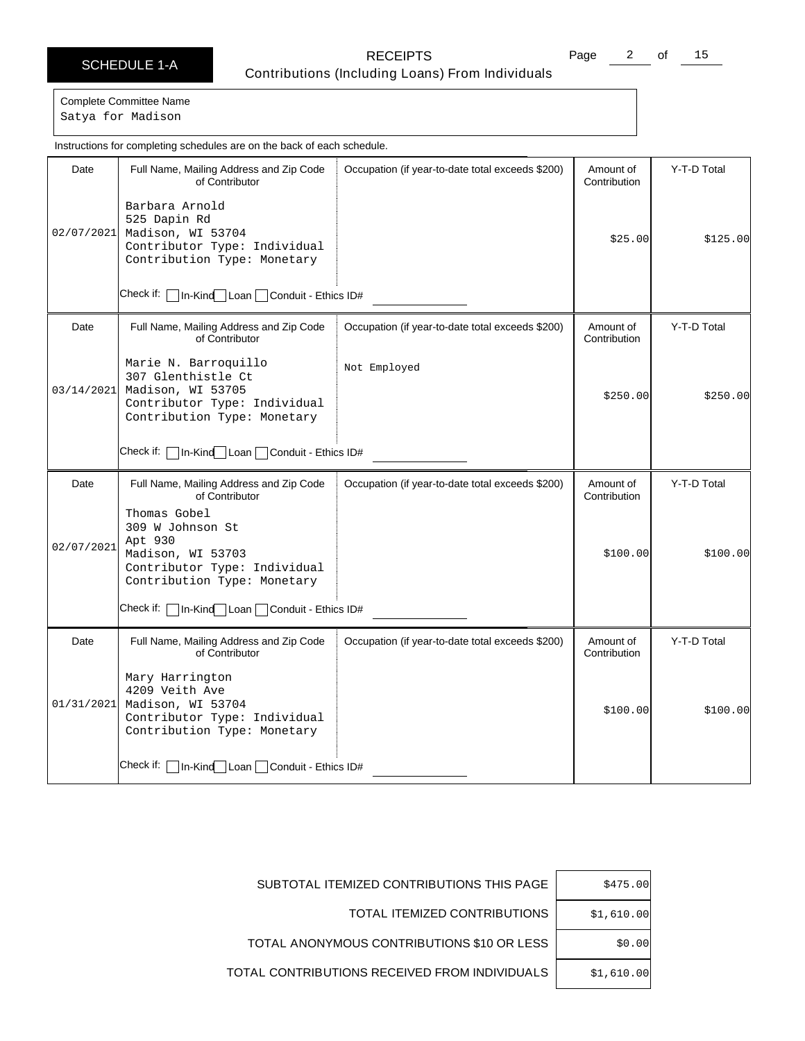Page 2 of 15

Complete Committee Name Satya for Madison

Date | Full Name, Mailing Address and Zip Code of Contributor Check if: | In-Kind Loan | Conduit - Ethics ID# Occupation (if year-to-date total exceeds \$200) | Amount of **Contribution** Y-T-D Total 02/07/2021 Madison, WI 53704 Barbara Arnold 525 Dapin Rd Contributor Type: Individual Contribution Type: Monetary \$25.00 \$125.00 Date | Full Name, Mailing Address and Zip Code of Contributor Check if:  $\Box$  In-Kind Loan  $\Box$  Conduit - Ethics ID# Occupation (if year-to-date total exceeds \$200) | Amount of **Contribution** Y-T-D Total 03/14/2021 Marie N. Barroquillo 307 Glenthistle Ct Madison, WI 53705 Contributor Type: Individual Contribution Type: Monetary Not Employed \$250.00 \$250.00 Date | Full Name, Mailing Address and Zip Code of Contributor Check if: | In-Kind | Loan | Conduit - Ethics ID# Occupation (if year-to-date total exceeds \$200) | Amount of Contribution Y-T-D Total 02/07/2021 Thomas Gobel 309 W Johnson St Apt 930 Madison, WI 53703 Contributor Type: Individual Contribution Type: Monetary \$100.00 \$100.00 Date | Full Name, Mailing Address and Zip Code of Contributor Check if: | In-Kind Loan | Conduit - Ethics ID# Occupation (if year-to-date total exceeds \$200) | Amount of Contribution Y-T-D Total 01/31/2021 Mary Harrington 4209 Veith Ave Madison, WI 53704 Contributor Type: Individual Contribution Type: Monetary  $$100.00$   $$100.00$ Instructions for completing schedules are on the back of each schedule.

| \$475.00   | SUBTOTAL ITEMIZED CONTRIBUTIONS THIS PAGE     |
|------------|-----------------------------------------------|
| \$1,610.00 | TOTAL ITEMIZED CONTRIBUTIONS                  |
| \$0.00     | TOTAL ANONYMOUS CONTRIBUTIONS \$10 OR LESS    |
| \$1,610.00 | TOTAL CONTRIBUTIONS RECEIVED FROM INDIVIDUALS |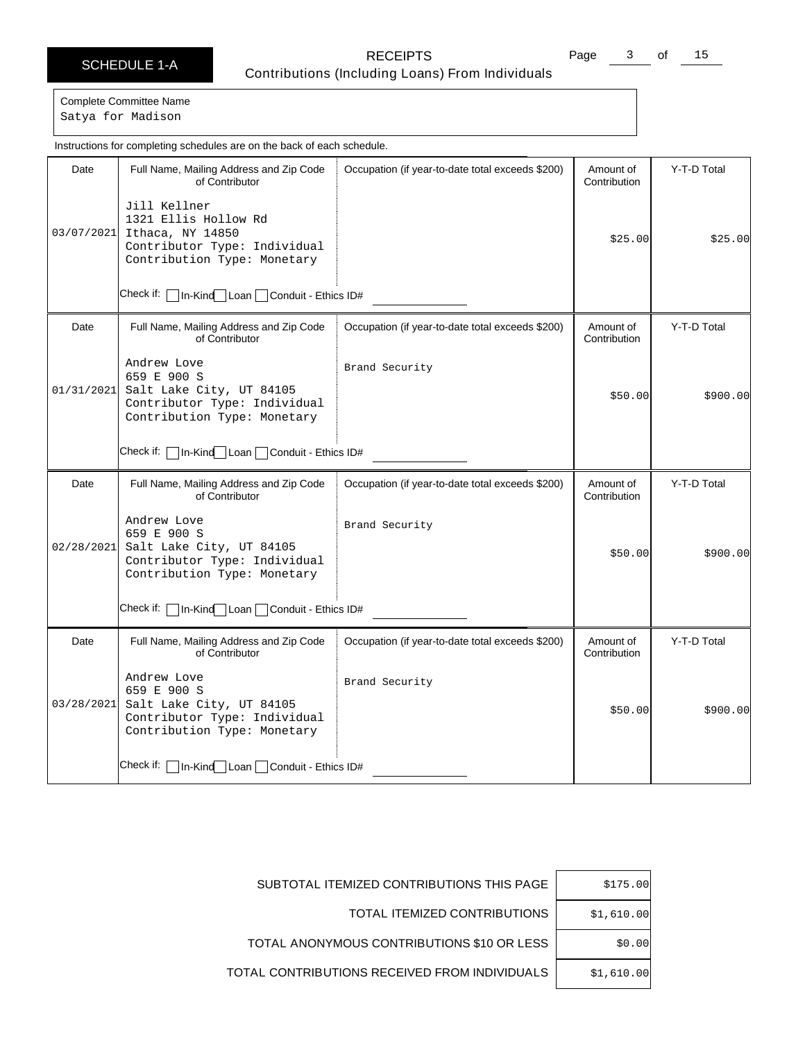Page 3 of 15

Complete Committee Name Satya for Madison

Date | Full Name, Mailing Address and Zip Code of Contributor Check if: | In-Kind Loan | Conduit - Ethics ID# Occupation (if year-to-date total exceeds \$200) | Amount of **Contribution** Y-T-D Total 03/07/2021 Ithaca, NY 14850 Jill Kellner 1321 Ellis Hollow Rd Contributor Type: Individual Contribution Type: Monetary \$25.00 \$25.00 Date | Full Name, Mailing Address and Zip Code of Contributor Check if:  $\Box$  In-Kind Loan  $\Box$  Conduit - Ethics ID# Occupation (if year-to-date total exceeds \$200) | Amount of **Contribution** Y-T-D Total 01/31/2021 Andrew Love 659 E 900 S Salt Lake City, UT 84105 Contributor Type: Individual Contribution Type: Monetary Brand Security \$50.00 \$900.00 Date | Full Name, Mailing Address and Zip Code of Contributor Check if: | In-Kind | Loan | Conduit - Ethics ID# Occupation (if year-to-date total exceeds \$200) | Amount of Contribution Y-T-D Total 02/28/2021 Andrew Love 659 E 900 S Salt Lake City, UT 84105 Contributor Type: Individual Contribution Type: Monetary Brand Security \$50.00 \$900.00 Date | Full Name, Mailing Address and Zip Code of Contributor Check if: | In-Kind Loan | Conduit - Ethics ID# Occupation (if year-to-date total exceeds \$200) | Amount of **Contribution** Y-T-D Total 03/28/2021 Andrew Love 659 E 900 S Salt Lake City, UT 84105 Contributor Type: Individual Contribution Type: Monetary Brand Security \$50.00 \$900.00 Instructions for completing schedules are on the back of each schedule.

| \$175.00   | SUBTOTAL ITEMIZED CONTRIBUTIONS THIS PAGE     |
|------------|-----------------------------------------------|
| \$1,610.00 | TOTAL ITEMIZED CONTRIBUTIONS                  |
| \$0.00     | TOTAL ANONYMOUS CONTRIBUTIONS \$10 OR LESS    |
| \$1,610.00 | TOTAL CONTRIBUTIONS RECEIVED FROM INDIVIDUALS |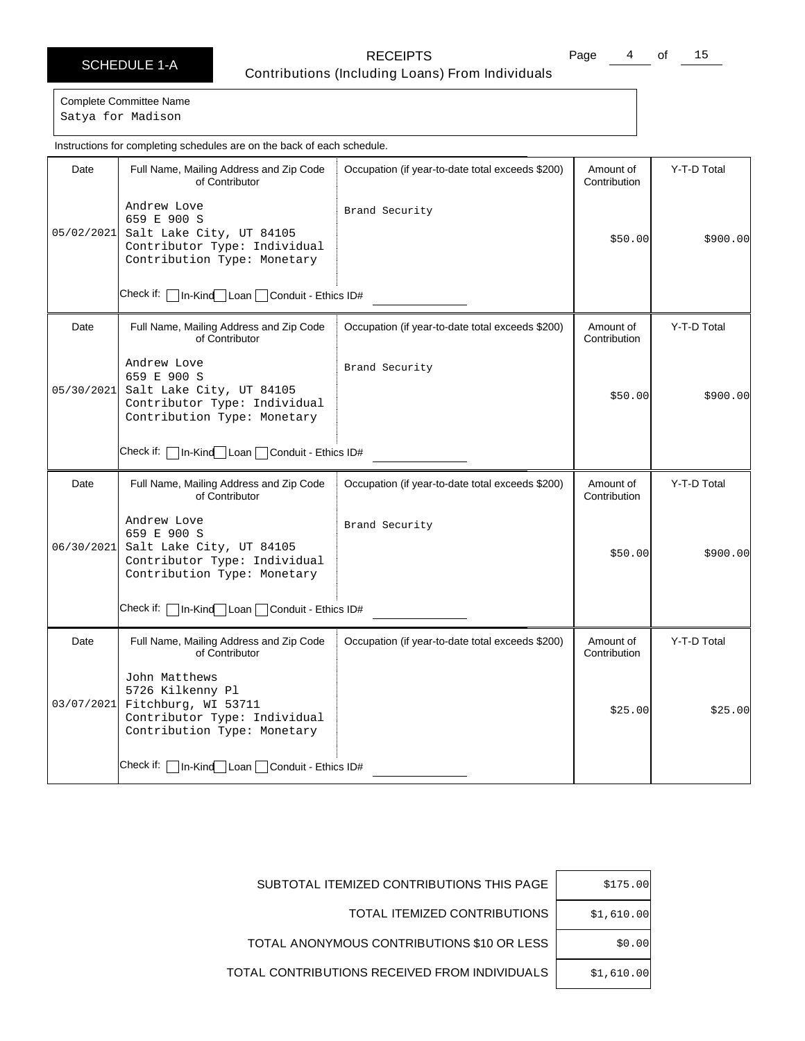Page 4 of 15

Complete Committee Name Satya for Madison

Date | Full Name, Mailing Address and Zip Code of Contributor Check if: | In-Kind Loan | Conduit - Ethics ID# Occupation (if year-to-date total exceeds \$200) | Amount of **Contribution** Y-T-D Total 05/02/2021 Salt Lake City, UT 84105 Andrew Love 659 E 900 S Contributor Type: Individual Contribution Type: Monetary Brand Security \$50.00 \$900.00 Date | Full Name, Mailing Address and Zip Code of Contributor Check if:  $\Box$  In-Kind Loan  $\Box$  Conduit - Ethics ID# Occupation (if year-to-date total exceeds \$200) | Amount of **Contribution** Y-T-D Total 05/30/2021 Andrew Love 659 E 900 S Salt Lake City, UT 84105 Contributor Type: Individual Contribution Type: Monetary Brand Security \$50.00 \$900.00 Date | Full Name, Mailing Address and Zip Code of Contributor Check if: | In-Kind | Loan | Conduit - Ethics ID# Occupation (if year-to-date total exceeds \$200) | Amount of Contribution Y-T-D Total 06/30/2021 Andrew Love 659 E 900 S Salt Lake City, UT 84105 Contributor Type: Individual Contribution Type: Monetary Brand Security \$50.00 \$900.00 Date | Full Name, Mailing Address and Zip Code of Contributor Check if: | In-Kind Loan | Conduit - Ethics ID# Occupation (if year-to-date total exceeds \$200) | Amount of **Contribution** Y-T-D Total 03/07/2021 Fitchburg, WI 53711 John Matthews 5726 Kilkenny Pl Contributor Type: Individual Contribution Type: Monetary  $$25.00$   $$25.00$ Instructions for completing schedules are on the back of each schedule.

| \$175.00   | SUBTOTAL ITEMIZED CONTRIBUTIONS THIS PAGE     |
|------------|-----------------------------------------------|
| \$1,610.00 | TOTAL ITEMIZED CONTRIBUTIONS                  |
| \$0.00     | TOTAL ANONYMOUS CONTRIBUTIONS \$10 OR LESS    |
| \$1,610.00 | TOTAL CONTRIBUTIONS RECEIVED FROM INDIVIDUALS |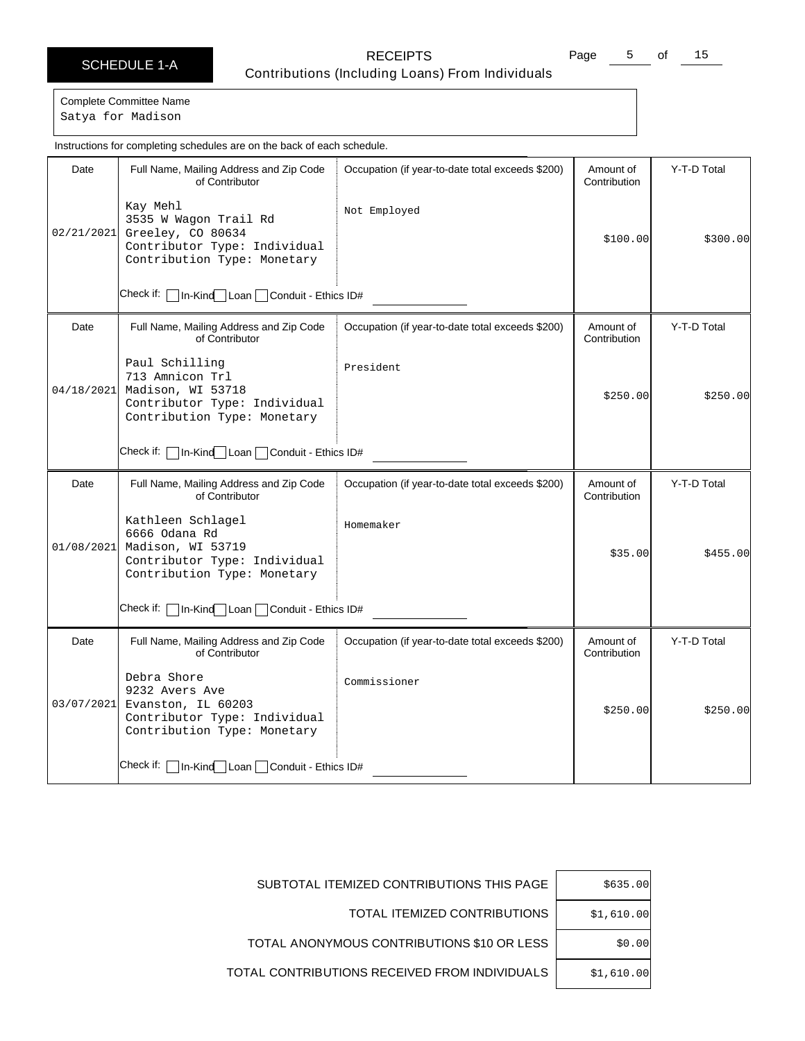Page 5 of 15

Complete Committee Name Satya for Madison

Date | Full Name, Mailing Address and Zip Code of Contributor Check if: | In-Kind Loan | Conduit - Ethics ID# Occupation (if year-to-date total exceeds \$200) | Amount of **Contribution** Y-T-D Total 02/21/2021 Greeley, CO 80634 Kay Mehl 3535 W Wagon Trail Rd Contributor Type: Individual Contribution Type: Monetary Not Employed \$100.00 \$300.00 Date | Full Name, Mailing Address and Zip Code of Contributor Check if:  $\Box$  In-Kind Loan  $\Box$  Conduit - Ethics ID# Occupation (if year-to-date total exceeds \$200) | Amount of Contribution Y-T-D Total 04/18/2021 Paul Schilling 713 Amnicon Trl Madison, WI 53718 Contributor Type: Individual Contribution Type: Monetary President  $$250.00$   $$250.00$ Date | Full Name, Mailing Address and Zip Code of Contributor Check if: | In-Kind | Loan | Conduit - Ethics ID# Occupation (if year-to-date total exceeds \$200) | Amount of Contribution Y-T-D Total 01/08/2021 Kathleen Schlagel 6666 Odana Rd Madison, WI 53719 Contributor Type: Individual Contribution Type: Monetary Homemaker \$35.00 \$455.00 Date | Full Name, Mailing Address and Zip Code of Contributor Check if: | In-Kind Loan | Conduit - Ethics ID# Occupation (if year-to-date total exceeds \$200) | Amount of Contribution Y-T-D Total 03/07/2021 Debra Shore 9232 Avers Ave Evanston, IL 60203 Contributor Type: Individual Contribution Type: Monetary Commissioner  $$250.00$   $$250.00$ Instructions for completing schedules are on the back of each schedule.

| \$635.00   | SUBTOTAL ITEMIZED CONTRIBUTIONS THIS PAGE     |
|------------|-----------------------------------------------|
| \$1,610.00 | TOTAL ITEMIZED CONTRIBUTIONS                  |
| \$0.00     | TOTAL ANONYMOUS CONTRIBUTIONS \$10 OR LESS    |
| \$1,610.00 | TOTAL CONTRIBUTIONS RECEIVED FROM INDIVIDUALS |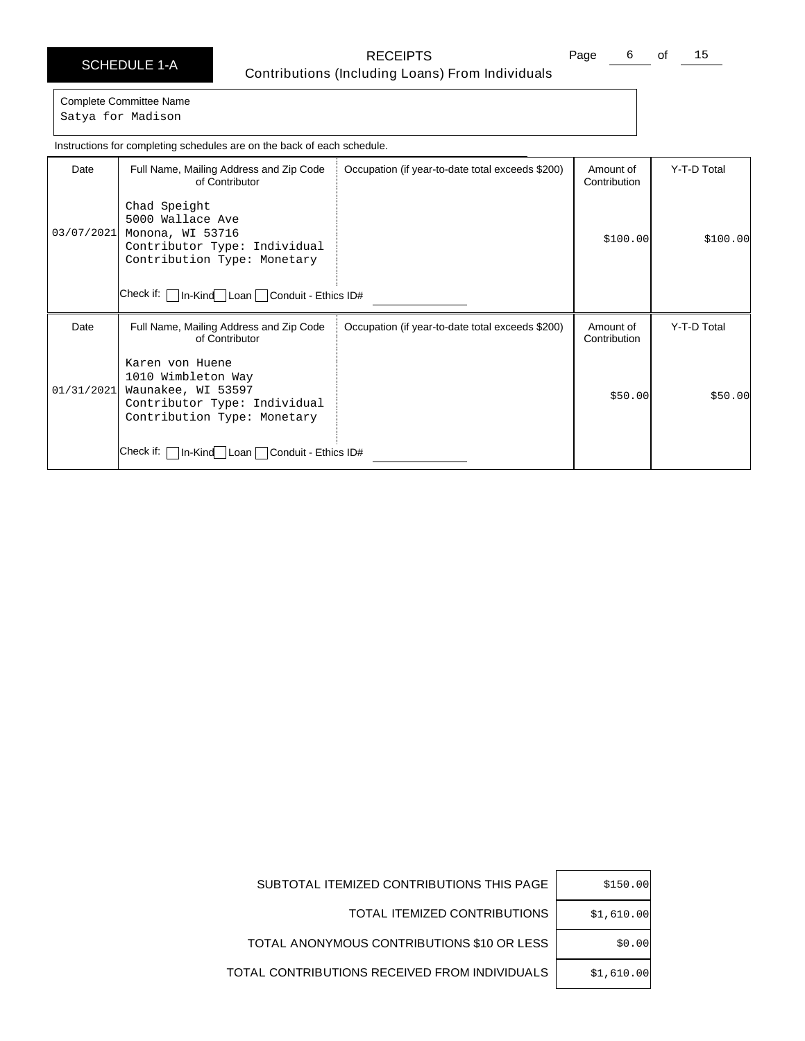Page 6 of 15

Satya for Madison

Date | Full Name, Mailing Address and Zip Code of Contributor Check if: In-Kind Loan Conduit - Ethics ID# Occupation (if year-to-date total exceeds \$200) | Amount of Contribution Y-T-D Total 03/07/2021 Chad Speight 5000 Wallace Ave Monona, WI 53716 Contributor Type: Individual Contribution Type: Monetary \$100.00 \$100.00 Date | Full Name, Mailing Address and Zip Code of Contributor Check if: | In-Kind Loan | Conduit - Ethics ID# Occupation (if year-to-date total exceeds \$200) | Amount of Contribution Y-T-D Total 01/31/2021 Karen von Huene 1010 Wimbleton Way Waunakee, WI 53597 Contributor Type: Individual Contribution Type: Monetary \$50.00 \$50.00 Instructions for completing schedules are on the back of each schedule.

| SUBTOTAL ITEMIZED CONTRIBUTIONS THIS PAGE     | \$150.00   |
|-----------------------------------------------|------------|
| TOTAL ITEMIZED CONTRIBUTIONS                  | \$1.610.00 |
| TOTAL ANONYMOUS CONTRIBUTIONS \$10 OR LESS    | \$0.00     |
| TOTAL CONTRIBUTIONS RECEIVED FROM INDIVIDUALS | \$1,610.00 |

# Complete Committee Name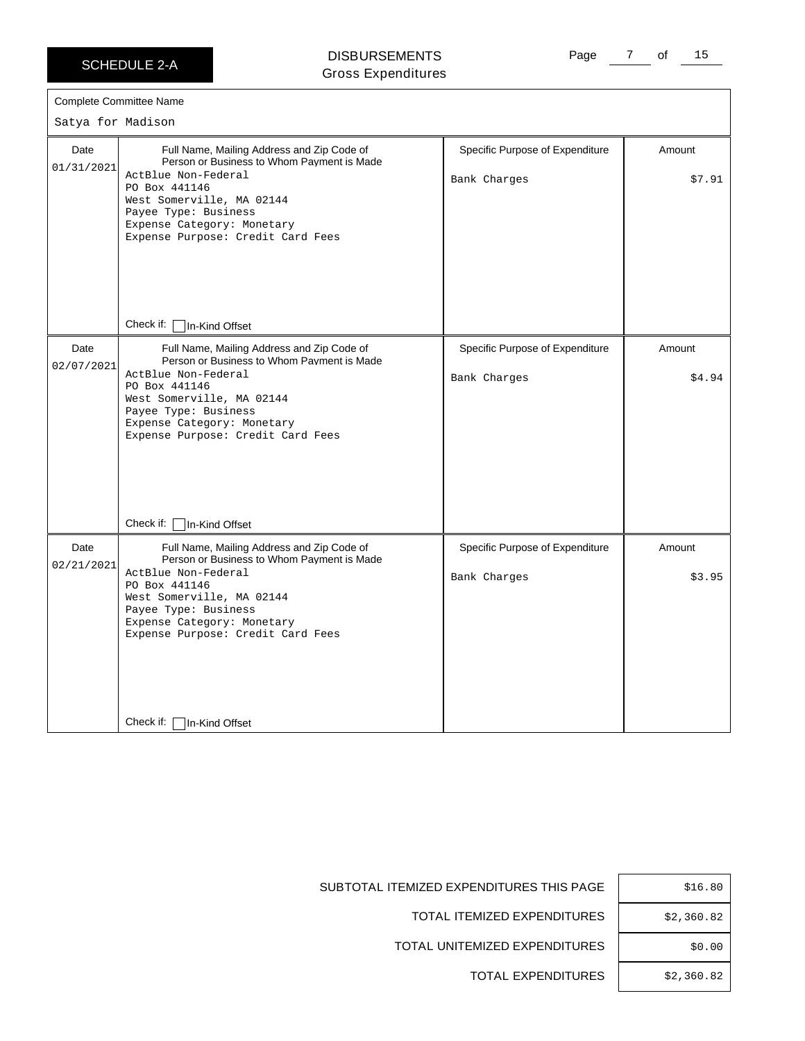#### DISBURSEMENTS Gross Expenditures

Page 7 of 15

| Satya for Madison  | Complete Committee Name                                                                                                                                                                                                                                                                 |                                                 |                  |
|--------------------|-----------------------------------------------------------------------------------------------------------------------------------------------------------------------------------------------------------------------------------------------------------------------------------------|-------------------------------------------------|------------------|
| Date<br>01/31/2021 | Full Name, Mailing Address and Zip Code of<br>Person or Business to Whom Payment is Made<br>ActBlue Non-Federal<br>PO Box 441146<br>West Somerville, MA 02144<br>Payee Type: Business<br>Expense Category: Monetary<br>Expense Purpose: Credit Card Fees<br>Check if:<br>In-Kind Offset | Specific Purpose of Expenditure<br>Bank Charges | Amount<br>\$7.91 |
| Date<br>02/07/2021 | Full Name, Mailing Address and Zip Code of<br>Person or Business to Whom Payment is Made<br>ActBlue Non-Federal<br>PO Box 441146<br>West Somerville, MA 02144<br>Payee Type: Business<br>Expense Category: Monetary<br>Expense Purpose: Credit Card Fees<br>Check if:<br>In-Kind Offset | Specific Purpose of Expenditure<br>Bank Charges | Amount<br>\$4.94 |
| Date<br>02/21/2021 | Full Name, Mailing Address and Zip Code of<br>Person or Business to Whom Payment is Made<br>ActBlue Non-Federal<br>PO Box 441146<br>West Somerville, MA 02144<br>Payee Type: Business<br>Expense Category: Monetary<br>Expense Purpose: Credit Card Fees<br>Check if:<br>In-Kind Offset | Specific Purpose of Expenditure<br>Bank Charges | Amount<br>\$3.95 |

SUBTOTAL ITEMIZED EXPENDITURES THIS PAGE | \$16.80

TOTAL ITEMIZED EXPENDITURES | \$2,360.82

TOTAL UNITEMIZED EXPENDITURES | \$0.00

TOTAL EXPENDITURES | \$2,360.82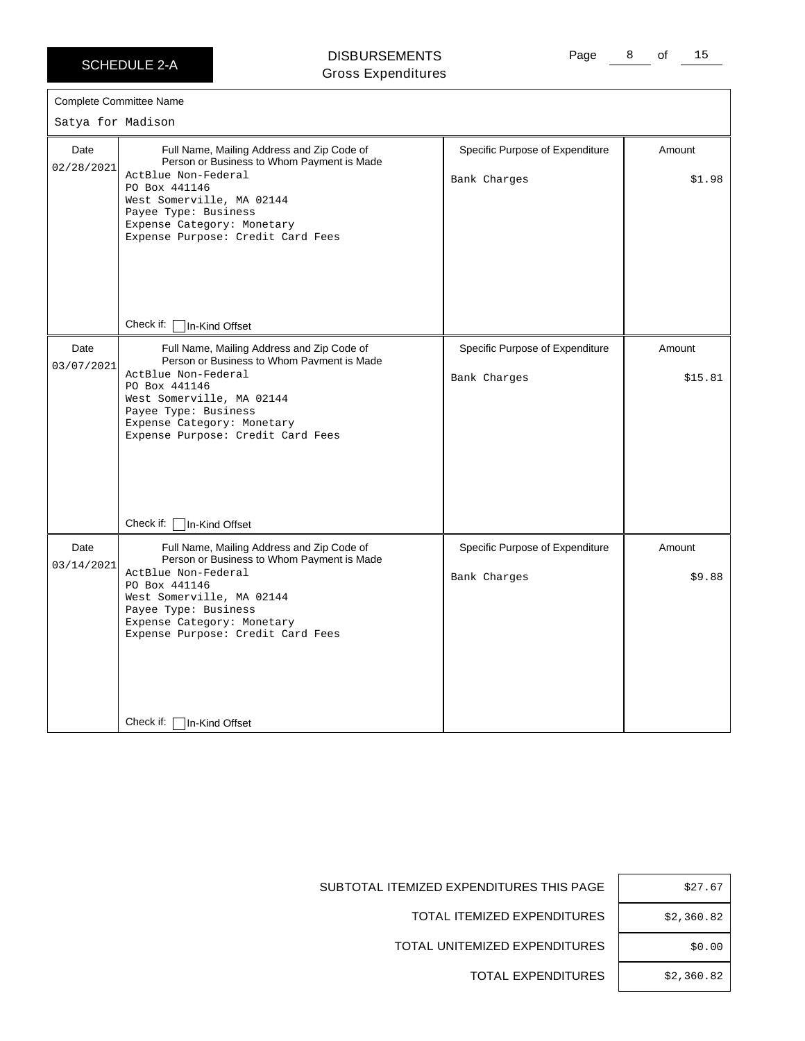#### DISBURSEMENTS Gross Expenditures

Page 8 of 15

|                    | Complete Committee Name                                                                                                                                                                                                                                                                 |                                                 |                   |
|--------------------|-----------------------------------------------------------------------------------------------------------------------------------------------------------------------------------------------------------------------------------------------------------------------------------------|-------------------------------------------------|-------------------|
| Satya for Madison  |                                                                                                                                                                                                                                                                                         |                                                 |                   |
| Date<br>02/28/2021 | Full Name, Mailing Address and Zip Code of<br>Person or Business to Whom Payment is Made<br>ActBlue Non-Federal<br>PO Box 441146<br>West Somerville, MA 02144<br>Payee Type: Business<br>Expense Category: Monetary<br>Expense Purpose: Credit Card Fees<br>Check if:<br>In-Kind Offset | Specific Purpose of Expenditure<br>Bank Charges | Amount<br>\$1.98  |
| Date<br>03/07/2021 | Full Name, Mailing Address and Zip Code of<br>Person or Business to Whom Payment is Made<br>ActBlue Non-Federal<br>PO Box 441146<br>West Somerville, MA 02144<br>Payee Type: Business<br>Expense Category: Monetary<br>Expense Purpose: Credit Card Fees<br>Check if:<br>In-Kind Offset | Specific Purpose of Expenditure<br>Bank Charges | Amount<br>\$15.81 |
| Date<br>03/14/2021 | Full Name, Mailing Address and Zip Code of<br>Person or Business to Whom Payment is Made<br>ActBlue Non-Federal<br>PO Box 441146<br>West Somerville, MA 02144<br>Payee Type: Business<br>Expense Category: Monetary<br>Expense Purpose: Credit Card Fees<br>Check if:<br>In-Kind Offset | Specific Purpose of Expenditure<br>Bank Charges | Amount<br>\$9.88  |

| \$27.67    |
|------------|
| \$2,360.82 |
| \$0.00     |
| \$2,360.82 |

SUBTOTAL ITEMIZED EXPENDITURES THIS PAGE

TOTAL ITEMIZED EXPENDITURES

TOTAL UNITEMIZED EXPENDITURES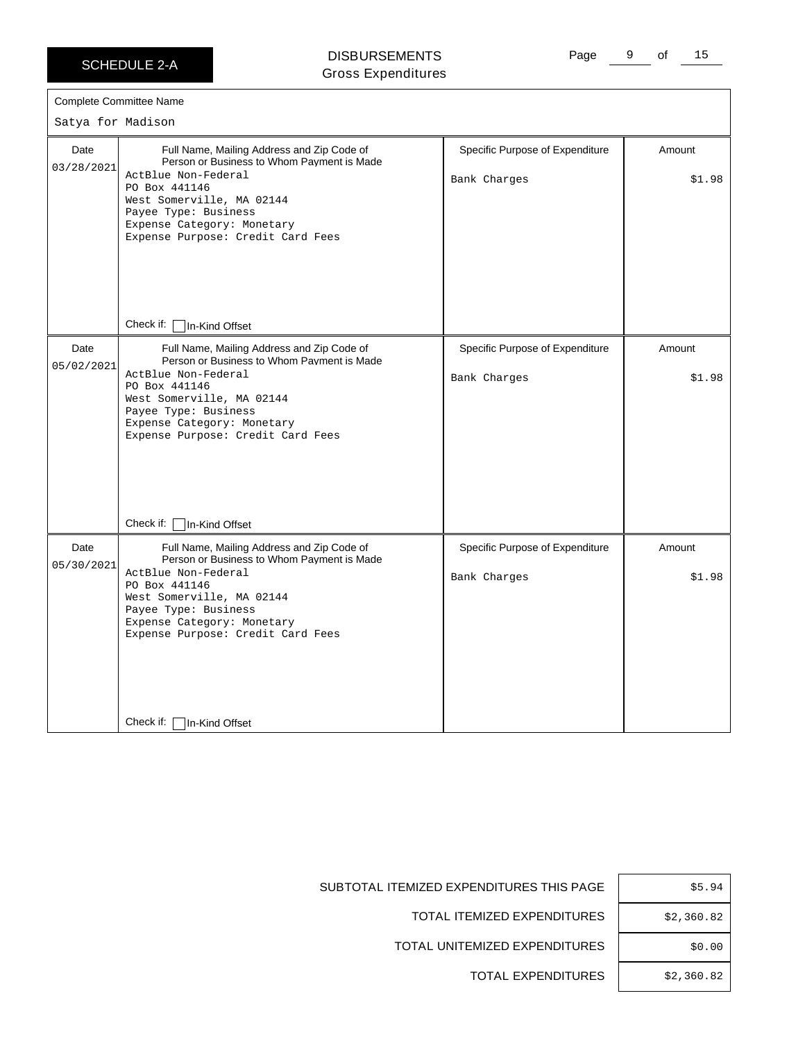$\Gamma$ 

## DISBURSEMENTS Gross Expenditures

Page 9 of 15

|                    | Complete Committee Name                                                                                                                                                                                                                                                                              |                                                 |                  |
|--------------------|------------------------------------------------------------------------------------------------------------------------------------------------------------------------------------------------------------------------------------------------------------------------------------------------------|-------------------------------------------------|------------------|
| Satya for Madison  |                                                                                                                                                                                                                                                                                                      |                                                 |                  |
| Date<br>03/28/2021 | Full Name, Mailing Address and Zip Code of<br>Person or Business to Whom Payment is Made<br>ActBlue Non-Federal<br>PO Box 441146<br>West Somerville, MA 02144<br>Payee Type: Business<br>Expense Category: Monetary<br>Expense Purpose: Credit Card Fees                                             | Specific Purpose of Expenditure<br>Bank Charges | Amount<br>\$1.98 |
|                    | Check if:<br>In-Kind Offset                                                                                                                                                                                                                                                                          |                                                 |                  |
| Date<br>05/02/2021 | Full Name, Mailing Address and Zip Code of<br>Person or Business to Whom Payment is Made<br>ActBlue Non-Federal<br>PO Box 441146<br>West Somerville, MA 02144<br>Payee Type: Business<br>Expense Category: Monetary<br>Expense Purpose: Credit Card Fees                                             | Specific Purpose of Expenditure<br>Bank Charges | Amount<br>\$1.98 |
| Date<br>05/30/2021 | Check if:<br>In-Kind Offset<br>Full Name, Mailing Address and Zip Code of<br>Person or Business to Whom Payment is Made<br>ActBlue Non-Federal<br>PO Box 441146<br>West Somerville, MA 02144<br>Payee Type: Business<br>Expense Category: Monetary<br>Expense Purpose: Credit Card Fees<br>Check if: | Specific Purpose of Expenditure<br>Bank Charges | Amount<br>\$1.98 |
|                    | In-Kind Offset                                                                                                                                                                                                                                                                                       |                                                 |                  |

| HIS PAGE | \$5.94     |
|----------|------------|
| IDITURES | \$2,360.82 |
| IDITURES | \$0.00     |
| IDITURES | \$2.360.82 |

SUBTOTAL ITEMIZED EXPENDITURES TH

TOTAL ITEMIZED EXPEN

TOTAL UNITEMIZED EXPEN

TOTAL EXPENDITURES \$2,360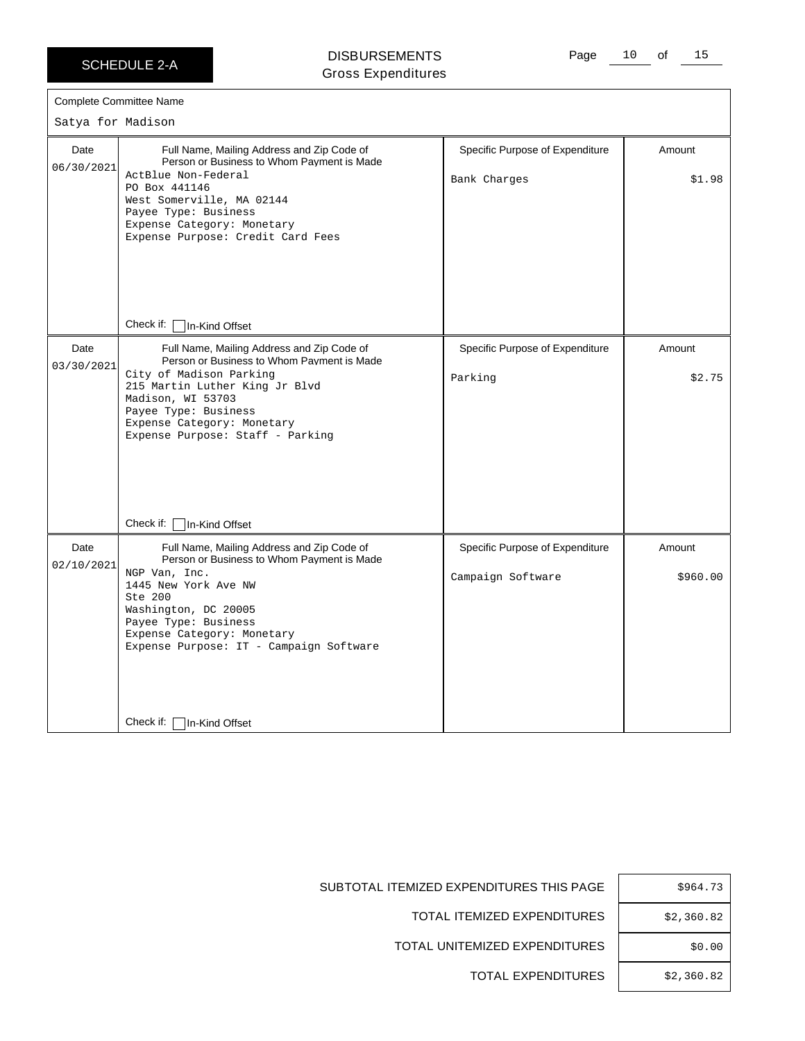#### DISBURSEMENTS Gross Expenditures

Page 10 of 15

| Satya for Madison  |                                                                                                                                                                                                                                                                       |                                                      |                    |
|--------------------|-----------------------------------------------------------------------------------------------------------------------------------------------------------------------------------------------------------------------------------------------------------------------|------------------------------------------------------|--------------------|
| Date<br>06/30/2021 | Full Name, Mailing Address and Zip Code of<br>Person or Business to Whom Payment is Made<br>ActBlue Non-Federal<br>PO Box 441146<br>West Somerville, MA 02144<br>Payee Type: Business<br>Expense Category: Monetary<br>Expense Purpose: Credit Card Fees              | Specific Purpose of Expenditure<br>Bank Charges      | Amount<br>\$1.98   |
|                    | Check if: $\lceil$<br>In-Kind Offset                                                                                                                                                                                                                                  |                                                      |                    |
| Date<br>03/30/2021 | Full Name, Mailing Address and Zip Code of<br>Person or Business to Whom Payment is Made<br>City of Madison Parking<br>215 Martin Luther King Jr Blvd<br>Madison, WI 53703<br>Payee Type: Business<br>Expense Category: Monetary<br>Expense Purpose: Staff - Parking  | Specific Purpose of Expenditure<br>Parking           | Amount<br>\$2.75   |
|                    | Check if:<br>In-Kind Offset                                                                                                                                                                                                                                           |                                                      |                    |
| Date<br>02/10/2021 | Full Name, Mailing Address and Zip Code of<br>Person or Business to Whom Payment is Made<br>NGP Van, Inc.<br>1445 New York Ave NW<br>Ste 200<br>Washington, DC 20005<br>Payee Type: Business<br>Expense Category: Monetary<br>Expense Purpose: IT - Campaign Software | Specific Purpose of Expenditure<br>Campaign Software | Amount<br>\$960.00 |
|                    | Check if:<br>In-Kind Offset                                                                                                                                                                                                                                           |                                                      |                    |

| \$964.73   |
|------------|
| \$2,360.82 |
| \$0.00     |
| \$2,360.82 |

SUBTOTAL ITEMIZED EXPENDITURES THIS PAGE

TOTAL ITEMIZED EXPENDITURES

TOTAL UNITEMIZED EXPENDITURES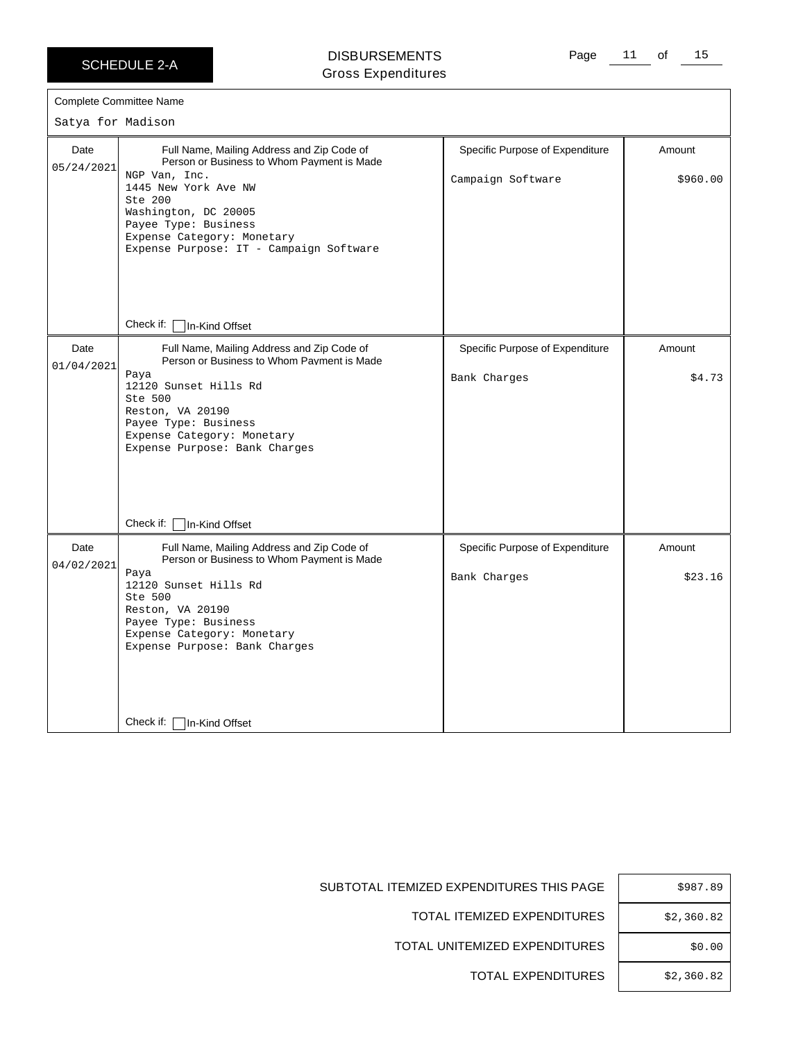#### DISBURSEMENTS Gross Expenditures

Page 11 of 15

|                    | <b>Complete Committee Name</b>                                                                                                                                                                                                                  |                                                 |                   |
|--------------------|-------------------------------------------------------------------------------------------------------------------------------------------------------------------------------------------------------------------------------------------------|-------------------------------------------------|-------------------|
| Satya for Madison  |                                                                                                                                                                                                                                                 |                                                 |                   |
| Date<br>05/24/2021 | Full Name, Mailing Address and Zip Code of<br>Person or Business to Whom Payment is Made                                                                                                                                                        | Specific Purpose of Expenditure                 | Amount            |
|                    | NGP Van, Inc.<br>1445 New York Ave NW<br>Ste 200<br>Washington, DC 20005<br>Payee Type: Business<br>Expense Category: Monetary<br>Expense Purpose: IT - Campaign Software                                                                       | Campaign Software                               | \$960.00          |
|                    | Check if:<br>In-Kind Offset                                                                                                                                                                                                                     |                                                 |                   |
| Date<br>01/04/2021 | Full Name, Mailing Address and Zip Code of<br>Person or Business to Whom Payment is Made                                                                                                                                                        | Specific Purpose of Expenditure                 | Amount            |
|                    | Paya<br>12120 Sunset Hills Rd<br>Ste 500<br>Reston, VA 20190<br>Payee Type: Business<br>Expense Category: Monetary<br>Expense Purpose: Bank Charges                                                                                             | Bank Charges                                    | \$4.73            |
|                    | Check if:<br>In-Kind Offset                                                                                                                                                                                                                     |                                                 |                   |
| Date<br>04/02/2021 | Full Name, Mailing Address and Zip Code of<br>Person or Business to Whom Payment is Made<br>Paya<br>12120 Sunset Hills Rd<br>Ste 500<br>Reston, VA 20190<br>Payee Type: Business<br>Expense Category: Monetary<br>Expense Purpose: Bank Charges | Specific Purpose of Expenditure<br>Bank Charges | Amount<br>\$23.16 |
|                    | Check if:<br>In-Kind Offset                                                                                                                                                                                                                     |                                                 |                   |

| \$987.89   |
|------------|
| \$2,360.82 |
| \$0.00     |
| \$2,360.82 |

SUBTOTAL ITEMIZED EXPENDITURES THIS PAGE

TOTAL ITEMIZED EXPENDITURES

TOTAL UNITEMIZED EXPENDITURES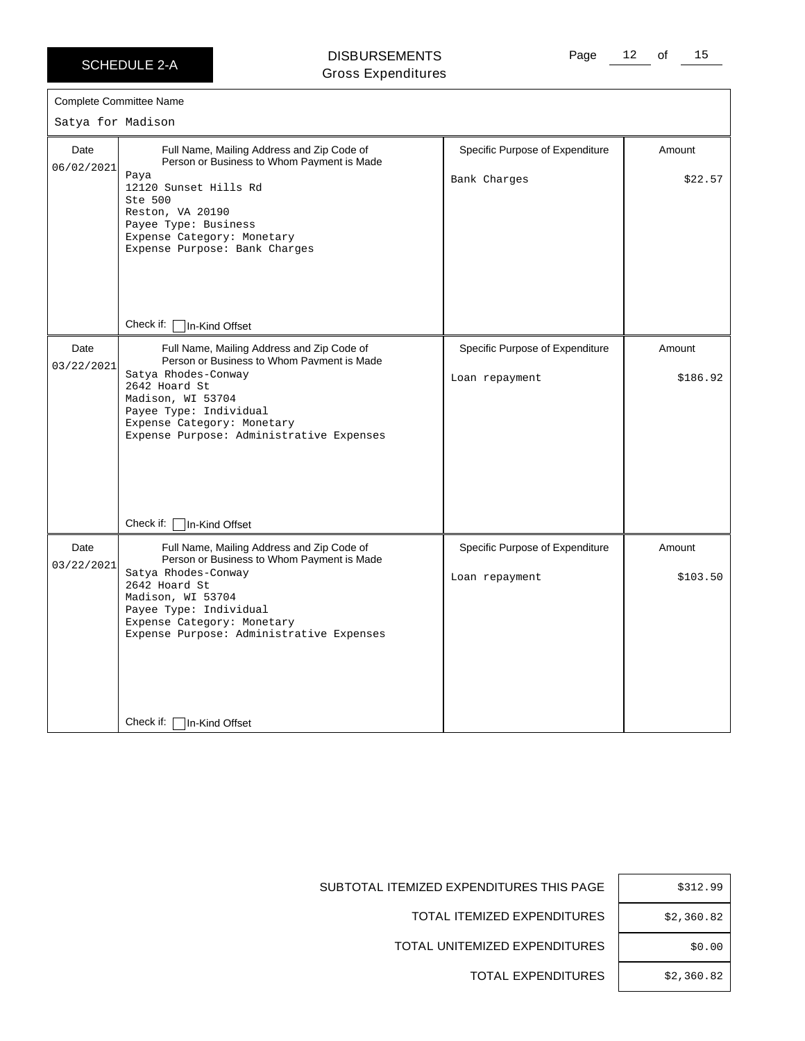$06/02/$ 

 $03/22/$ 

 $03/22/$ 

Check if: □ In-Kind Offset

#### DISBURSEMENTS Gross Expenditures

Page 12 of 15

|                    | <b>Complete Committee Name</b>                                                                                                                                                                                                                            |                                                   |                    |
|--------------------|-----------------------------------------------------------------------------------------------------------------------------------------------------------------------------------------------------------------------------------------------------------|---------------------------------------------------|--------------------|
| Satya for Madison  |                                                                                                                                                                                                                                                           |                                                   |                    |
| Date<br>06/02/2021 | Full Name, Mailing Address and Zip Code of<br>Person or Business to Whom Payment is Made<br>Paya<br>12120 Sunset Hills Rd<br>Ste 500<br>Reston, VA 20190<br>Payee Type: Business<br>Expense Category: Monetary<br>Expense Purpose: Bank Charges           | Specific Purpose of Expenditure<br>Bank Charges   | Amount<br>\$22.57  |
|                    | Check if:<br>In-Kind Offset                                                                                                                                                                                                                               |                                                   |                    |
| Date<br>03/22/2021 | Full Name, Mailing Address and Zip Code of<br>Person or Business to Whom Payment is Made<br>Satya Rhodes-Conway<br>2642 Hoard St<br>Madison, WI 53704<br>Payee Type: Individual<br>Expense Category: Monetary<br>Expense Purpose: Administrative Expenses | Specific Purpose of Expenditure<br>Loan repayment | Amount<br>\$186.92 |
|                    | Check if:<br>In-Kind Offset                                                                                                                                                                                                                               |                                                   |                    |
| Date<br>03/22/2021 | Full Name, Mailing Address and Zip Code of<br>Person or Business to Whom Payment is Made<br>Satya Rhodes-Conway<br>2642 Hoard St<br>Madison, WI 53704<br>Payee Type: Individual<br>Expense Category: Monetary<br>Expense Purpose: Administrative Expenses | Specific Purpose of Expenditure<br>Loan repayment | Amount<br>\$103.50 |

| <b>THIS PAGE</b> | \$312.99   |
|------------------|------------|
| ENDITURES        | \$2,360.82 |
| ENDITURES        | \$0.00     |
| ENDITURES        | \$2,360.82 |

SUBTOTAL ITEMIZED EXPENDITURES

TOTAL ITEMIZED EXPE

TOTAL UNITEMIZED EXPE

TOTAL EXPE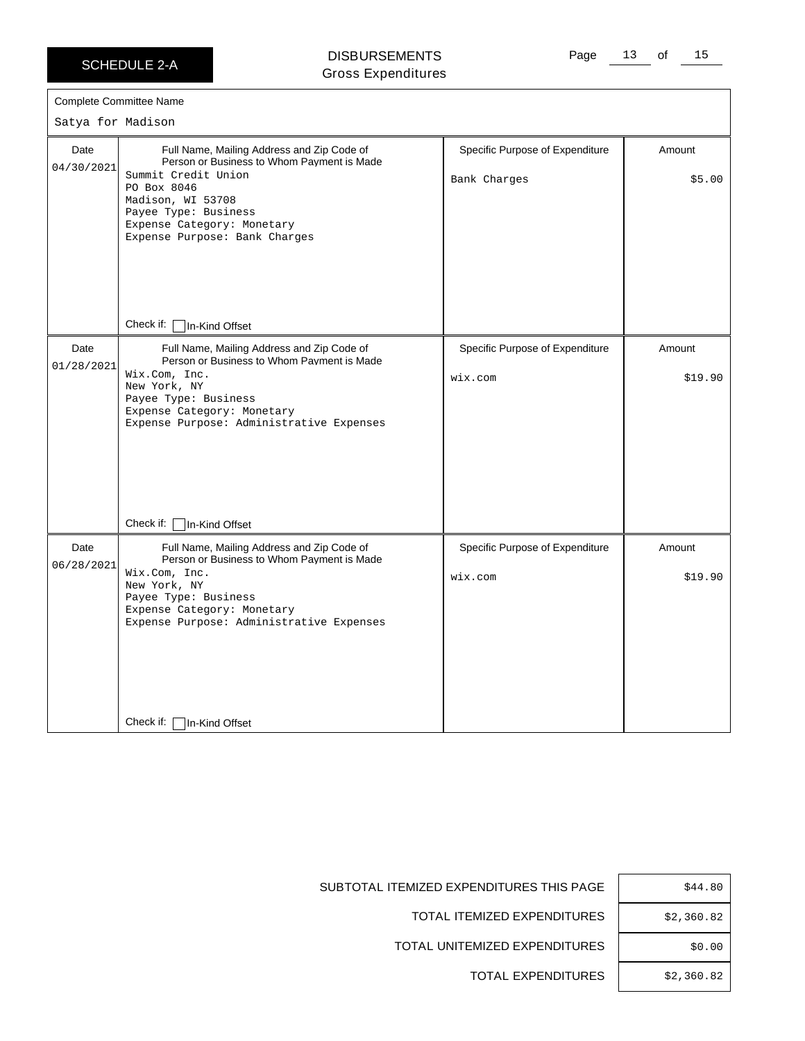#### DISBURSEMENTS Gross Expenditures

| Satya for Madison  | <b>Complete Committee Name</b>                                                                                                                                                                                                             |                                                 |                   |
|--------------------|--------------------------------------------------------------------------------------------------------------------------------------------------------------------------------------------------------------------------------------------|-------------------------------------------------|-------------------|
| Date<br>04/30/2021 | Full Name, Mailing Address and Zip Code of<br>Person or Business to Whom Payment is Made<br>Summit Credit Union<br>PO Box 8046<br>Madison, WI 53708<br>Payee Type: Business<br>Expense Category: Monetary<br>Expense Purpose: Bank Charges | Specific Purpose of Expenditure<br>Bank Charges | Amount<br>\$5.00  |
|                    | Check if:<br>In-Kind Offset                                                                                                                                                                                                                |                                                 |                   |
| Date<br>01/28/2021 | Full Name, Mailing Address and Zip Code of<br>Person or Business to Whom Payment is Made<br>Wix.Com, Inc.<br>New York, NY<br>Payee Type: Business<br>Expense Category: Monetary<br>Expense Purpose: Administrative Expenses                | Specific Purpose of Expenditure<br>wix.com      | Amount<br>\$19.90 |
|                    | Check if:<br>In-Kind Offset                                                                                                                                                                                                                |                                                 |                   |
| Date<br>06/28/2021 | Full Name, Mailing Address and Zip Code of<br>Person or Business to Whom Payment is Made<br>Wix.Com, Inc.<br>New York, NY<br>Payee Type: Business<br>Expense Category: Monetary<br>Expense Purpose: Administrative Expenses                | Specific Purpose of Expenditure<br>wix.com      | Amount<br>\$19.90 |
|                    | Check if:<br>In-Kind Offset                                                                                                                                                                                                                |                                                 |                   |

| Е | \$44.80    |
|---|------------|
| S | \$2,360.82 |
| S | \$0.00     |
| S | \$2,360.82 |

SUBTOTAL ITEMIZED EXPENDITURES THIS PAGE

TOTAL ITEMIZED EXPENDITURES

TOTAL UNITEMIZED EXPENDITURES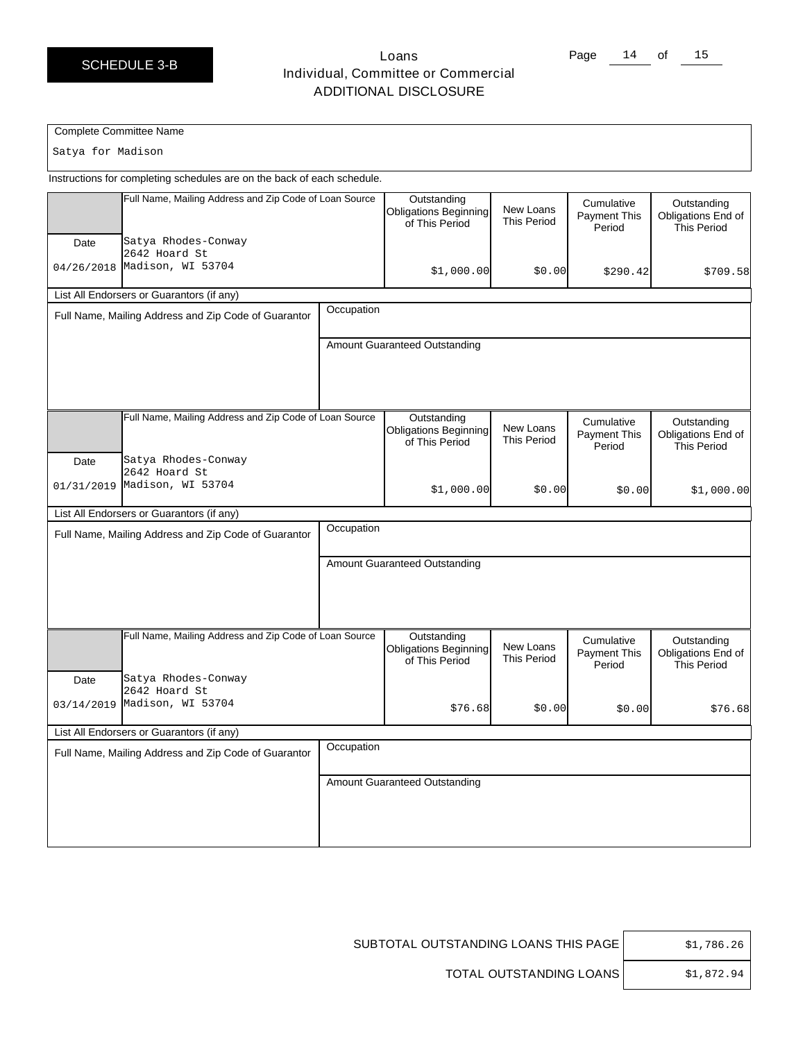### Loans Individual, Committee or Commercial ADDITIONAL DISCLOSURE

Page 14 of 15

#### Complete Committee Name

Satya for Madison

Instructions for completing schedules are on the back of each schedule.

| Full Name, Mailing Address and Zip Code of Loan Source                                |            | Outstanding<br><b>Obligations Beginning</b><br>of This Period | New Loans<br><b>This Period</b> | Cumulative<br><b>Payment This</b><br>Period | Outstanding<br>Obligations End of<br><b>This Period</b> |
|---------------------------------------------------------------------------------------|------------|---------------------------------------------------------------|---------------------------------|---------------------------------------------|---------------------------------------------------------|
| Satya Rhodes-Conway<br>Date<br>2642 Hoard St<br>04/26/2018 Madison, WI 53704          |            | \$1,000.00]                                                   | \$0.00                          | \$290.42                                    | \$709.58                                                |
| List All Endorsers or Guarantors (if any)                                             |            |                                                               |                                 |                                             |                                                         |
| Full Name, Mailing Address and Zip Code of Guarantor                                  | Occupation |                                                               |                                 |                                             |                                                         |
|                                                                                       |            | Amount Guaranteed Outstanding                                 |                                 |                                             |                                                         |
| Full Name, Mailing Address and Zip Code of Loan Source<br>Satya Rhodes-Conway<br>Date |            | Outstanding<br><b>Obligations Beginning</b><br>of This Period | New Loans<br><b>This Period</b> | Cumulative<br>Payment This<br>Period        | Outstanding<br>Obligations End of<br><b>This Period</b> |
| 2642 Hoard St<br>Madison, WI 53704<br>01/31/2019                                      |            | \$1,000.00]                                                   | \$0.00                          | \$0.00                                      | \$1,000.00]                                             |
| List All Endorsers or Guarantors (if any)                                             |            |                                                               |                                 |                                             |                                                         |
| Full Name, Mailing Address and Zip Code of Guarantor                                  | Occupation |                                                               |                                 |                                             |                                                         |
|                                                                                       |            | Amount Guaranteed Outstanding                                 |                                 |                                             |                                                         |
| Full Name, Mailing Address and Zip Code of Loan Source<br>Satya Rhodes-Conway<br>Date |            | Outstanding<br><b>Obligations Beginning</b><br>of This Period | New Loans<br><b>This Period</b> | Cumulative<br><b>Payment This</b><br>Period | Outstanding<br>Obligations End of<br><b>This Period</b> |
| 2642 Hoard St<br>03/14/2019 Madison, WI 53704                                         |            | \$76.68                                                       | \$0.00                          | \$0.00                                      | \$76.68                                                 |
| List All Endorsers or Guarantors (if any)                                             |            |                                                               |                                 |                                             |                                                         |
| Full Name, Mailing Address and Zip Code of Guarantor                                  | Occupation |                                                               |                                 |                                             |                                                         |
|                                                                                       |            | Amount Guaranteed Outstanding                                 |                                 |                                             |                                                         |

SUBTOTAL OUTSTANDING LOANS THIS PAGE  $\Big|$  \$1,786.26